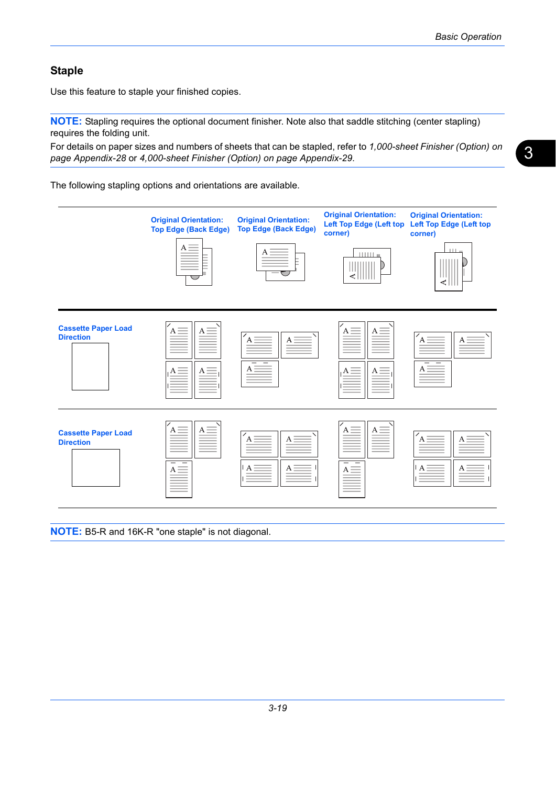## **Staple**

Use this feature to staple your finished copies.

**NOTE:** Stapling requires the optional document finisher. Note also that saddle stitching (center stapling) requires the folding unit.

For details on paper sizes and numbers of sheets that can be stapled, refer to *[1,000-sheet Finisher \(Option\) on](#page--1-0)  [page Appendix-28](#page--1-0)* or *[4,000-sheet Finisher \(Option\) on page Appendix-29](#page--1-1)*.

The following stapling options and orientations are available.



**NOTE:** B5-R and 16K-R "one staple" is not diagonal.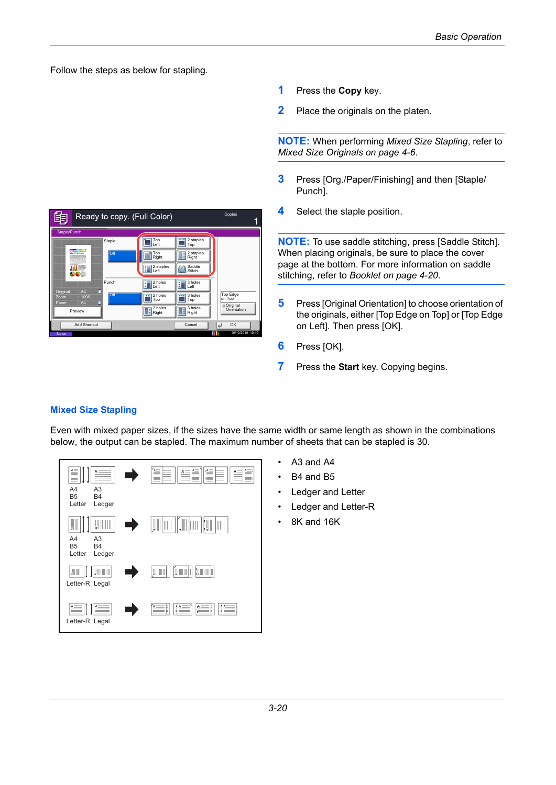Follow the steps as below for stapling.



- **1** Press the **Copy** key.
- **2** Place the originals on the platen.

**NOTE:** When performing *[Mixed Size Stapling](#page-1-0)*, refer to *[Mixed Size Originals on page 4-6](#page--1-2)*.

- **3** Press [Org./Paper/Finishing] and then [Staple/ Punch].
- **4** Select the staple position.

**NOTE:** To use saddle stitching, press [Saddle Stitch]. When placing originals, be sure to place the cover page at the bottom. For more information on saddle stitching, refer to *[Booklet on page 4-20](#page--1-2)*.

- **5** Press [Original Orientation] to choose orientation of the originals, either [Top Edge on Top] or [Top Edge on Left]. Then press [OK].
- **6** Press [OK].
- **7** Press the **Start** key. Copying begins.

## <span id="page-1-0"></span>**Mixed Size Stapling**

Even with mixed paper sizes, if the sizes have the same width or same length as shown in the combinations below, the output can be stapled. The maximum number of sheets that can be stapled is 30.



- A3 and A4
- B<sub>4</sub> and B<sub>5</sub>
- Ledger and Letter
- Ledger and Letter-R
- 8K and 16K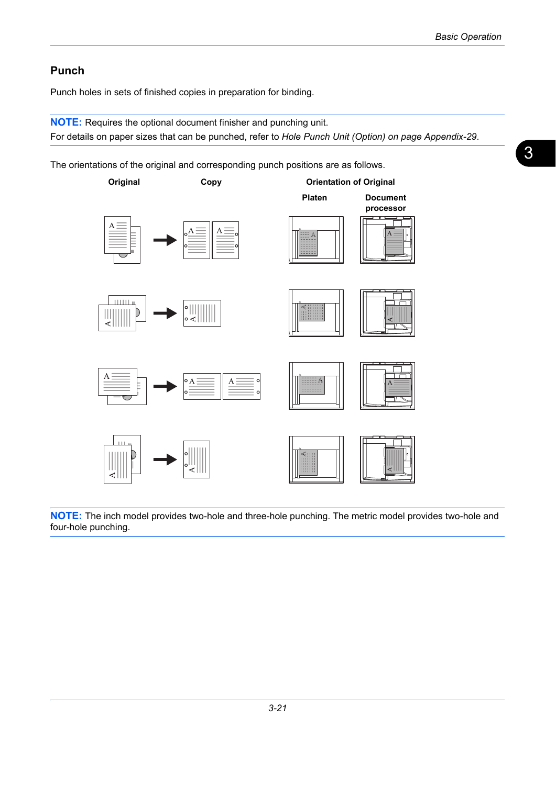## **Punch**

Punch holes in sets of finished copies in preparation for binding.

**NOTE:** Requires the optional document finisher and punching unit. For details on paper sizes that can be punched, refer to *[Hole Punch Unit \(Option\) on page Appendix-29](#page--1-3)*.

The orientations of the original and corresponding punch positions are as follows.



**NOTE:** The inch model provides two-hole and three-hole punching. The metric model provides two-hole and four-hole punching.